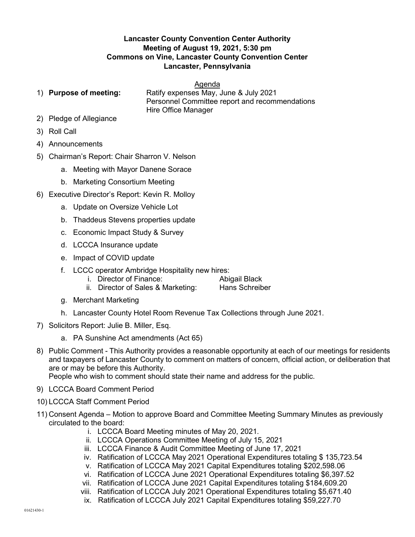## Lancaster County Convention Center Authority Meeting of August 19, 2021, 5:30 pm Commons on Vine, Lancaster County Convention Center Lancaster, Pennsylvania

## Agenda

1) Purpose of meeting: Ratify expenses May, June & July 2021 Personnel Committee report and recommendations Hire Office Manager

- 2) Pledge of Allegiance
- 3) Roll Call
- 4) Announcements
- 5) Chairman's Report: Chair Sharron V. Nelson
	- a. Meeting with Mayor Danene Sorace
	- b. Marketing Consortium Meeting
- 6) Executive Director's Report: Kevin R. Molloy
	- a. Update on Oversize Vehicle Lot
	- b. Thaddeus Stevens properties update
	- c. Economic Impact Study & Survey
	- d. LCCCA Insurance update
	- e. Impact of COVID update
	- f. LCCC operator Ambridge Hospitality new hires:
		- i. Director of Finance: Abigail Black

- ii. Director of Sales & Marketing: Hans Schreiber
- g. Merchant Marketing
- h. Lancaster County Hotel Room Revenue Tax Collections through June 2021.
- 7) Solicitors Report: Julie B. Miller, Esq.
	- a. PA Sunshine Act amendments (Act 65)
- 8) Public Comment This Authority provides a reasonable opportunity at each of our meetings for residents and taxpayers of Lancaster County to comment on matters of concern, official action, or deliberation that are or may be before this Authority.

People who wish to comment should state their name and address for the public.

- 9) LCCCA Board Comment Period
- 10) LCCCA Staff Comment Period
- 11) Consent Agenda Motion to approve Board and Committee Meeting Summary Minutes as previously circulated to the board:
	- i. LCCCA Board Meeting minutes of May 20, 2021.
	- ii. LCCCA Operations Committee Meeting of July 15, 2021
	- iii. LCCCA Finance & Audit Committee Meeting of June 17, 2021
	- iv. Ratification of LCCCA May 2021 Operational Expenditures totaling \$ 135,723.54
	- v. Ratification of LCCCA May 2021 Capital Expenditures totaling \$202,598.06
	- vi. Ratification of LCCCA June 2021 Operational Expenditures totaling \$6,397.52
	- vii. Ratification of LCCCA June 2021 Capital Expenditures totaling \$184,609.20
	- viii. Ratification of LCCCA July 2021 Operational Expenditures totaling \$5,671.40
	- ix. Ratification of LCCCA July 2021 Capital Expenditures totaling \$59,227.70